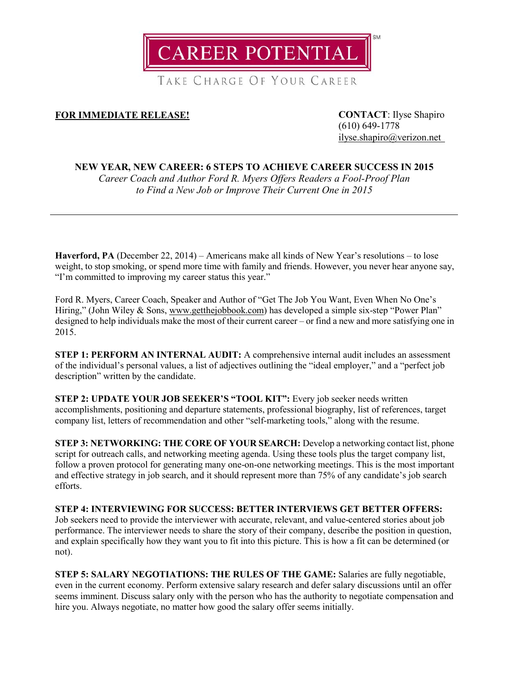

TAKE CHARGE OF YOUR CAREER

## **FOR IMMEDIATE RELEASE! CONTACT**: Ilyse Shapiro

(610) 649-1778 [ilyse.shapiro@verizon.net](mailto:ilyse.shapiro@verizon.net)

## **NEW YEAR, NEW CAREER: 6 STEPS TO ACHIEVE CAREER SUCCESS IN 2015**

*Career Coach and Author Ford R. Myers Offers Readers a Fool-Proof Plan to Find a New Job or Improve Their Current One in 2015*

**Haverford, PA** (December 22, 2014) – Americans make all kinds of New Year's resolutions – to lose weight, to stop smoking, or spend more time with family and friends. However, you never hear anyone say, "I'm committed to improving my career status this year."

Ford R. Myers, Career Coach, Speaker and Author of "Get The Job You Want, Even When No One's Hiring," (John Wiley & Sons, [www.getthejobbook.com\)](http://www.getthejobbook.com/) has developed a simple six-step "Power Plan" designed to help individuals make the most of their current career – or find a new and more satisfying one in 2015.

**STEP 1: PERFORM AN INTERNAL AUDIT:** A comprehensive internal audit includes an assessment of the individual's personal values, a list of adjectives outlining the "ideal employer," and a "perfect job description" written by the candidate.

**STEP 2: UPDATE YOUR JOB SEEKER'S "TOOL KIT":** Every job seeker needs written accomplishments, positioning and departure statements, professional biography, list of references, target company list, letters of recommendation and other "self-marketing tools," along with the resume.

**STEP 3: NETWORKING: THE CORE OF YOUR SEARCH:** Develop a networking contact list, phone script for outreach calls, and networking meeting agenda. Using these tools plus the target company list, follow a proven protocol for generating many one-on-one networking meetings. This is the most important and effective strategy in job search, and it should represent more than 75% of any candidate's job search efforts.

**STEP 4: INTERVIEWING FOR SUCCESS: BETTER INTERVIEWS GET BETTER OFFERS:** Job seekers need to provide the interviewer with accurate, relevant, and value-centered stories about job performance. The interviewer needs to share the story of their company, describe the position in question, and explain specifically how they want you to fit into this picture. This is how a fit can be determined (or not).

**STEP 5: SALARY NEGOTIATIONS: THE RULES OF THE GAME:** Salaries are fully negotiable, even in the current economy. Perform extensive salary research and defer salary discussions until an offer seems imminent. Discuss salary only with the person who has the authority to negotiate compensation and hire you. Always negotiate, no matter how good the salary offer seems initially.